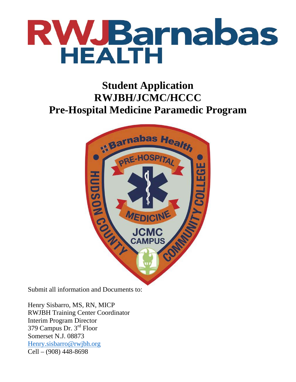

## **Student Application RWJBH/JCMC/HCCC Pre-Hospital Medicine Paramedic Program**



Submit all information and Documents to:

Henry Sisbarro, MS, RN, MICP RWJBH Training Center Coordinator Interim Program Director 379 Campus Dr. 3rd Floor Somerset N.J. 08873 Henry.sisbarro@rwjbh.org Cell – (908) 448-8698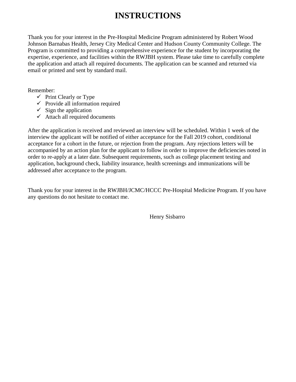## **INSTRUCTIONS**

Thank you for your interest in the Pre-Hospital Medicine Program administered by Robert Wood Johnson Barnabas Health, Jersey City Medical Center and Hudson County Community College. The Program is committed to providing a comprehensive experience for the student by incorporating the expertise, experience, and facilities within the RWJBH system. Please take time to carefully complete the application and attach all required documents. The application can be scanned and returned via email or printed and sent by standard mail.

Remember:

- $\checkmark$  Print Clearly or Type
- $\checkmark$  Provide all information required
- $\checkmark$  Sign the application
- $\checkmark$  Attach all required documents

After the application is received and reviewed an interview will be scheduled. Within 1 week of the interview the applicant will be notified of either acceptance for the Fall 2019 cohort, conditional acceptance for a cohort in the future, or rejection from the program. Any rejections letters will be accompanied by an action plan for the applicant to follow in order to improve the deficiencies noted in order to re-apply at a later date. Subsequent requirements, such as college placement testing and application, background check, liability insurance, health screenings and immunizations will be addressed after acceptance to the program.

Thank you for your interest in the RWJBH/JCMC/HCCC Pre-Hospital Medicine Program. If you have any questions do not hesitate to contact me.

Henry Sisbarro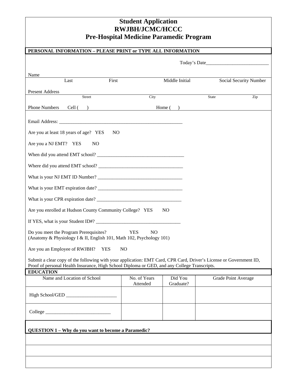## **Student Application RWJBH/JCMC/HCCC Pre-Hospital Medicine Paramedic Program**

| Pre-Hospital Medicine Paramedic Program                                                                                                                                                                            |                              |                      |                     |                        |  |  |
|--------------------------------------------------------------------------------------------------------------------------------------------------------------------------------------------------------------------|------------------------------|----------------------|---------------------|------------------------|--|--|
| PERSONAL INFORMATION - PLEASE PRINT or TYPE ALL INFORMATION                                                                                                                                                        |                              |                      |                     |                        |  |  |
|                                                                                                                                                                                                                    | Today's Date                 |                      |                     |                        |  |  |
| Name                                                                                                                                                                                                               |                              |                      |                     |                        |  |  |
| First<br>Last                                                                                                                                                                                                      |                              | Middle Initial       |                     | Social Security Number |  |  |
| <b>Present Address</b>                                                                                                                                                                                             |                              |                      |                     |                        |  |  |
| Street                                                                                                                                                                                                             | City                         |                      | State               | Zip                    |  |  |
| <b>Phone Numbers</b><br>Cell ( ) Home ( )                                                                                                                                                                          |                              |                      |                     |                        |  |  |
|                                                                                                                                                                                                                    |                              |                      |                     |                        |  |  |
| Are you at least 18 years of age? YES<br>N <sub>O</sub>                                                                                                                                                            |                              |                      |                     |                        |  |  |
| Are you a NJ EMT? YES<br>N <sub>O</sub>                                                                                                                                                                            |                              |                      |                     |                        |  |  |
|                                                                                                                                                                                                                    |                              |                      |                     |                        |  |  |
|                                                                                                                                                                                                                    |                              |                      |                     |                        |  |  |
|                                                                                                                                                                                                                    |                              |                      |                     |                        |  |  |
|                                                                                                                                                                                                                    |                              |                      |                     |                        |  |  |
|                                                                                                                                                                                                                    |                              |                      |                     |                        |  |  |
| Are you enrolled at Hudson County Community College? YES                                                                                                                                                           |                              | N <sub>O</sub>       |                     |                        |  |  |
|                                                                                                                                                                                                                    |                              |                      |                     |                        |  |  |
| Do you meet the Program Prerequisites?<br>(Anatomy & Physiology I & II, English 101, Math 102, Psychology 101)                                                                                                     | <b>YES</b><br>N <sub>O</sub> |                      |                     |                        |  |  |
| Are you an Employee of RWJBH?<br><b>YES</b>                                                                                                                                                                        | N <sub>O</sub>               |                      |                     |                        |  |  |
| Submit a clear copy of the following with your application: EMT Card, CPR Card, Driver's License or Government ID,<br>Proof of personal Health Insurance, High School Diploma or GED, and any College Transcripts. |                              |                      |                     |                        |  |  |
| <b>EDUCATION</b>                                                                                                                                                                                                   |                              |                      |                     |                        |  |  |
| Name and Location of School                                                                                                                                                                                        | No. of Years<br>Attended     | Did You<br>Graduate? | Grade Point Average |                        |  |  |
| High School/GED                                                                                                                                                                                                    |                              |                      |                     |                        |  |  |
|                                                                                                                                                                                                                    |                              |                      |                     |                        |  |  |
| QUESTION 1 - Why do you want to become a Paramedic?                                                                                                                                                                |                              |                      |                     |                        |  |  |
|                                                                                                                                                                                                                    |                              |                      |                     |                        |  |  |
|                                                                                                                                                                                                                    |                              |                      |                     |                        |  |  |
|                                                                                                                                                                                                                    |                              |                      |                     |                        |  |  |